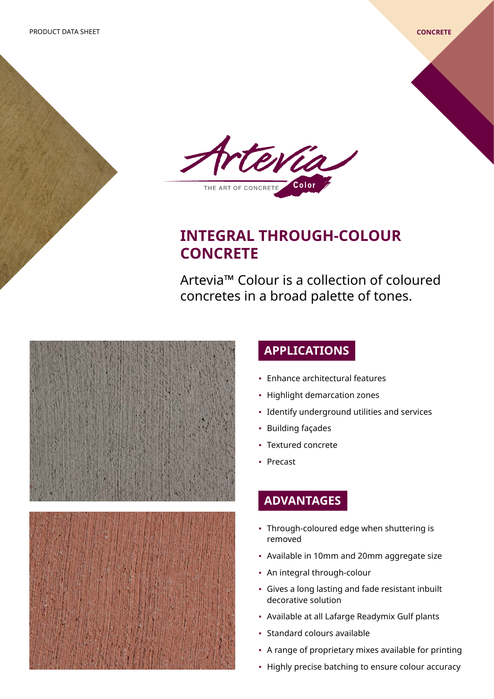

# **INTEGRAL THROUGH-COLOUR CONCRETE**

Artevia™ Colour is a collection of coloured concretes in a broad palette of tones.





## **APPLICATIONS**

- Enhance architectural features
- Highlight demarcation zones
- Identify underground utilities and services
- Building façades
- Textured concrete
- Precast

### **ADVANTAGES**

- Through-coloured edge when shuttering is removed
- Available in 10mm and 20mm aggregate size
- An integral through-colour
- Gives a long lasting and fade resistant inbuilt decorative solution
- Available at all Lafarge Readymix Gulf plants
- Standard colours available
- A range of proprietary mixes available for printing
- Highly precise batching to ensure colour accuracy